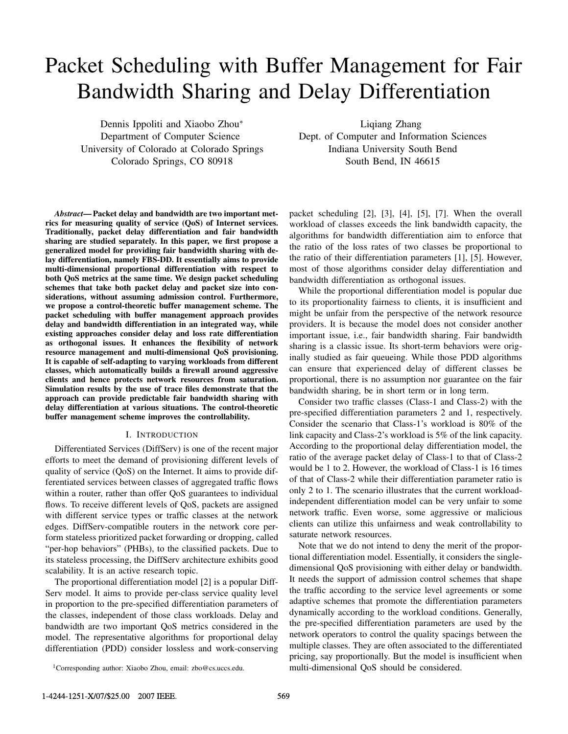# Packet Scheduling with Buffer Management for Fair Bandwidth Sharing and Delay Differentiation

Dennis Ippoliti and Xiaobo Zhou*∗* Department of Computer Science University of Colorado at Colorado Springs Colorado Springs, CO 80918

*Abstract***— Packet delay and bandwidth are two important metrics for measuring quality of service (QoS) of Internet services. Traditionally, packet delay differentiation and fair bandwidth sharing are studied separately. In this paper, we first propose a generalized model for providing fair bandwidth sharing with delay differentiation, namely FBS-DD. It essentially aims to provide multi-dimensional proportional differentiation with respect to both QoS metrics at the same time. We design packet scheduling schemes that take both packet delay and packet size into considerations, without assuming admission control. Furthermore, we propose a control-theoretic buffer management scheme. The packet scheduling with buffer management approach provides delay and bandwidth differentiation in an integrated way, while existing approaches consider delay and loss rate differentiation as orthogonal issues. It enhances the flexibility of network resource management and multi-dimensional QoS provisioning. It is capable of self-adapting to varying workloads from different classes, which automatically builds a firewall around aggressive clients and hence protects network resources from saturation. Simulation results by the use of trace files demonstrate that the approach can provide predictable fair bandwidth sharing with delay differentiation at various situations. The control-theoretic buffer management scheme improves the controllability.**

#### I. INTRODUCTION

Differentiated Services (DiffServ) is one of the recent major efforts to meet the demand of provisioning different levels of quality of service (QoS) on the Internet. It aims to provide differentiated services between classes of aggregated traffic flows within a router, rather than offer QoS guarantees to individual flows. To receive different levels of QoS, packets are assigned with different service types or traffic classes at the network edges. DiffServ-compatible routers in the network core perform stateless prioritized packet forwarding or dropping, called "per-hop behaviors" (PHBs), to the classified packets. Due to its stateless processing, the DiffServ architecture exhibits good scalability. It is an active research topic.

The proportional differentiation model [2] is a popular Diff-Serv model. It aims to provide per-class service quality level in proportion to the pre-specified differentiation parameters of the classes, independent of those class workloads. Delay and bandwidth are two important QoS metrics considered in the model. The representative algorithms for proportional delay differentiation (PDD) consider lossless and work-conserving

Liqiang Zhang Dept. of Computer and Information Sciences Indiana University South Bend South Bend, IN 46615

packet scheduling [2], [3], [4], [5], [7]. When the overall workload of classes exceeds the link bandwidth capacity, the algorithms for bandwidth differentiation aim to enforce that the ratio of the loss rates of two classes be proportional to the ratio of their differentiation parameters [1], [5]. However, most of those algorithms consider delay differentiation and bandwidth differentiation as orthogonal issues.

While the proportional differentiation model is popular due to its proportionality fairness to clients, it is insufficient and might be unfair from the perspective of the network resource providers. It is because the model does not consider another important issue, i.e., fair bandwidth sharing. Fair bandwidth sharing is a classic issue. Its short-term behaviors were originally studied as fair queueing. While those PDD algorithms can ensure that experienced delay of different classes be proportional, there is no assumption nor guarantee on the fair bandwidth sharing, be in short term or in long term.

Consider two traffic classes (Class-1 and Class-2) with the pre-specified differentiation parameters 2 and 1, respectively. Consider the scenario that Class-1's workload is 80% of the link capacity and Class-2's workload is 5% of the link capacity. According to the proportional delay differentiation model, the ratio of the average packet delay of Class-1 to that of Class-2 would be 1 to 2. However, the workload of Class-1 is 16 times of that of Class-2 while their differentiation parameter ratio is only 2 to 1. The scenario illustrates that the current workloadindependent differentiation model can be very unfair to some network traffic. Even worse, some aggressive or malicious clients can utilize this unfairness and weak controllability to saturate network resources.

Note that we do not intend to deny the merit of the proportional differentiation model. Essentially, it considers the singledimensional QoS provisioning with either delay or bandwidth. It needs the support of admission control schemes that shape the traffic according to the service level agreements or some adaptive schemes that promote the differentiation parameters dynamically according to the workload conditions. Generally, the pre-specified differentiation parameters are used by the network operators to control the quality spacings between the multiple classes. They are often associated to the differentiated pricing, say proportionally. But the model is insufficient when multi-dimensional QoS should be considered.

<sup>1</sup>Corresponding author: Xiaobo Zhou, email: zbo@cs.uccs.edu.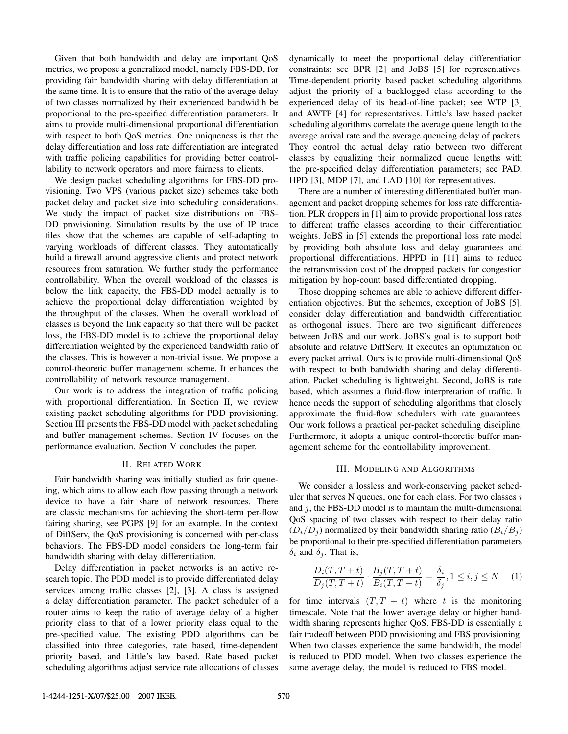Given that both bandwidth and delay are important QoS metrics, we propose a generalized model, namely FBS-DD, for providing fair bandwidth sharing with delay differentiation at the same time. It is to ensure that the ratio of the average delay of two classes normalized by their experienced bandwidth be proportional to the pre-specified differentiation parameters. It aims to provide multi-dimensional proportional differentiation with respect to both QoS metrics. One uniqueness is that the delay differentiation and loss rate differentiation are integrated with traffic policing capabilities for providing better controllability to network operators and more fairness to clients.

We design packet scheduling algorithms for FBS-DD provisioning. Two VPS (various packet size) schemes take both packet delay and packet size into scheduling considerations. We study the impact of packet size distributions on FBS-DD provisioning. Simulation results by the use of IP trace files show that the schemes are capable of self-adapting to varying workloads of different classes. They automatically build a firewall around aggressive clients and protect network resources from saturation. We further study the performance controllability. When the overall workload of the classes is below the link capacity, the FBS-DD model actually is to achieve the proportional delay differentiation weighted by the throughput of the classes. When the overall workload of classes is beyond the link capacity so that there will be packet loss, the FBS-DD model is to achieve the proportional delay differentiation weighted by the experienced bandwidth ratio of the classes. This is however a non-trivial issue. We propose a control-theoretic buffer management scheme. It enhances the controllability of network resource management.

Our work is to address the integration of traffic policing with proportional differentiation. In Section II, we review existing packet scheduling algorithms for PDD provisioning. Section III presents the FBS-DD model with packet scheduling and buffer management schemes. Section IV focuses on the performance evaluation. Section V concludes the paper.

## II. RELATED WORK

Fair bandwidth sharing was initially studied as fair queueing, which aims to allow each flow passing through a network device to have a fair share of network resources. There are classic mechanisms for achieving the short-term per-flow fairing sharing, see PGPS [9] for an example. In the context of DiffServ, the QoS provisioning is concerned with per-class behaviors. The FBS-DD model considers the long-term fair bandwidth sharing with delay differentiation.

Delay differentiation in packet networks is an active research topic. The PDD model is to provide differentiated delay services among traffic classes [2], [3]. A class is assigned a delay differentiation parameter. The packet scheduler of a router aims to keep the ratio of average delay of a higher priority class to that of a lower priority class equal to the pre-specified value. The existing PDD algorithms can be classified into three categories, rate based, time-dependent priority based, and Little's law based. Rate based packet scheduling algorithms adjust service rate allocations of classes dynamically to meet the proportional delay differentiation constraints; see BPR [2] and JoBS [5] for representatives. Time-dependent priority based packet scheduling algorithms adjust the priority of a backlogged class according to the experienced delay of its head-of-line packet; see WTP [3] and AWTP [4] for representatives. Little's law based packet scheduling algorithms correlate the average queue length to the average arrival rate and the average queueing delay of packets. They control the actual delay ratio between two different classes by equalizing their normalized queue lengths with the pre-specified delay differentiation parameters; see PAD, HPD [3], MDP [7], and LAD [10] for representatives.

There are a number of interesting differentiated buffer management and packet dropping schemes for loss rate differentiation. PLR droppers in [1] aim to provide proportional loss rates to different traffic classes according to their differentiation weights. JoBS in [5] extends the proportional loss rate model by providing both absolute loss and delay guarantees and proportional differentiations. HPPD in [11] aims to reduce the retransmission cost of the dropped packets for congestion mitigation by hop-count based differentiated dropping.

Those dropping schemes are able to achieve different differentiation objectives. But the schemes, exception of JoBS [5], consider delay differentiation and bandwidth differentiation as orthogonal issues. There are two significant differences between JoBS and our work. JoBS's goal is to support both absolute and relative DiffServ. It executes an optimization on every packet arrival. Ours is to provide multi-dimensional QoS with respect to both bandwidth sharing and delay differentiation. Packet scheduling is lightweight. Second, JoBS is rate based, which assumes a fluid-flow interpretation of traffic. It hence needs the support of scheduling algorithms that closely approximate the fluid-flow schedulers with rate guarantees. Our work follows a practical per-packet scheduling discipline. Furthermore, it adopts a unique control-theoretic buffer management scheme for the controllability improvement.

#### III. MODELING AND ALGORITHMS

We consider a lossless and work-conserving packet scheduler that serves N queues, one for each class. For two classes  $i$ and  $j$ , the FBS-DD model is to maintain the multi-dimensional QoS spacing of two classes with respect to their delay ratio  $(D_i/D_j)$  normalized by their bandwidth sharing ratio  $(B_i/B_j)$ be proportional to their pre-specified differentiation parameters  $\delta_i$  and  $\delta_j$ . That is,

$$
\frac{D_i(T, T+t)}{D_j(T, T+t)} \cdot \frac{B_j(T, T+t)}{B_i(T, T+t)} = \frac{\delta_i}{\delta_j}, 1 \le i, j \le N \quad (1)
$$

for time intervals  $(T, T + t)$  where t is the monitoring timescale. Note that the lower average delay or higher bandwidth sharing represents higher QoS. FBS-DD is essentially a fair tradeoff between PDD provisioning and FBS provisioning. When two classes experience the same bandwidth, the model is reduced to PDD model. When two classes experience the same average delay, the model is reduced to FBS model.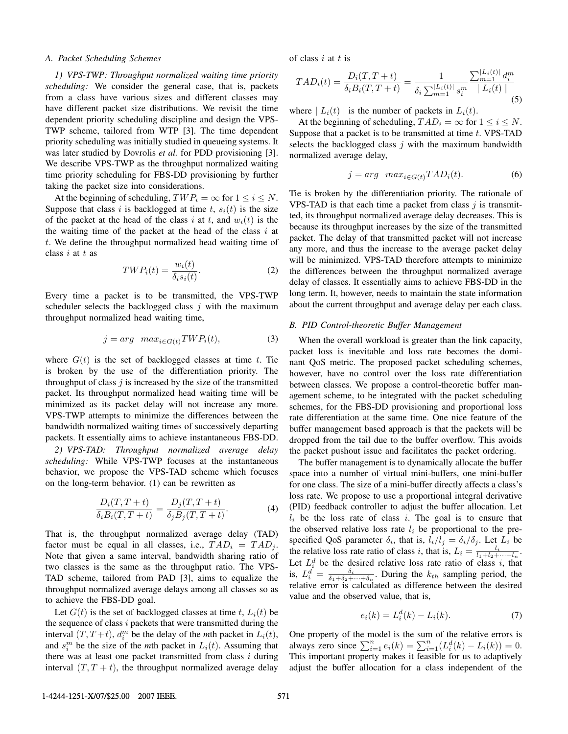#### *A. Packet Scheduling Schemes*

*1) VPS-TWP: Throughput normalized waiting time priority scheduling:* We consider the general case, that is, packets from a class have various sizes and different classes may have different packet size distributions. We revisit the time dependent priority scheduling discipline and design the VPS-TWP scheme, tailored from WTP [3]. The time dependent priority scheduling was initially studied in queueing systems. It was later studied by Dovrolis *et al.* for PDD provisioning [3]. We describe VPS-TWP as the throughput normalized waiting time priority scheduling for FBS-DD provisioning by further taking the packet size into considerations.

At the beginning of scheduling,  $TWP_i = \infty$  for  $1 \le i \le N$ . Suppose that class i is backlogged at time t,  $s_i(t)$  is the size of the packet at the head of the class i at t, and  $w_i(t)$  is the the waiting time of the packet at the head of the class  $i$  at t. We define the throughput normalized head waiting time of class  $i$  at  $t$  as

$$
TWP_i(t) = \frac{w_i(t)}{\delta_i s_i(t)}.
$$
\n(2)

Every time a packet is to be transmitted, the VPS-TWP scheduler selects the backlogged class  $j$  with the maximum throughput normalized head waiting time,

$$
j = arg \ max_{i \in G(t)} TWP_i(t), \tag{3}
$$

where  $G(t)$  is the set of backlogged classes at time t. Tie is broken by the use of the differentiation priority. The throughput of class  $j$  is increased by the size of the transmitted packet. Its throughput normalized head waiting time will be minimized as its packet delay will not increase any more. VPS-TWP attempts to minimize the differences between the bandwidth normalized waiting times of successively departing packets. It essentially aims to achieve instantaneous FBS-DD.

*2) VPS-TAD: Throughput normalized average delay scheduling:* While VPS-TWP focuses at the instantaneous behavior, we propose the VPS-TAD scheme which focuses on the long-term behavior. (1) can be rewritten as

$$
\frac{D_i(T, T+t)}{\delta_i B_i(T, T+t)} = \frac{D_j(T, T+t)}{\delta_j B_j(T, T+t)}.
$$
\n(4)

That is, the throughput normalized average delay (TAD) factor must be equal in all classes, i.e.,  $TAD_i = TAD_j$ . Note that given a same interval, bandwidth sharing ratio of two classes is the same as the throughput ratio. The VPS-TAD scheme, tailored from PAD [3], aims to equalize the throughput normalized average delays among all classes so as to achieve the FBS-DD goal.

Let  $G(t)$  is the set of backlogged classes at time t,  $L_i(t)$  be the sequence of class i packets that were transmitted during the interval  $(T, T+t)$ ,  $d_i^m$  be the delay of the *m*th packet in  $L_i(t)$ ,<br>and  $s^m$  be the size of the *m*th packet in  $L_i(t)$ , Assuming that and  $s_i^m$  be the size of the *m*th packet in  $L_i(t)$ . Assuming that there was at least one packet transmitted from class *i* during there was at least one packet transmitted from class  $i$  during interval  $(T, T + t)$ , the throughput normalized average delay of class  $i$  at  $t$  is

$$
TAD_i(t) = \frac{D_i(T, T + t)}{\delta_i B_i(T, T + t)} = \frac{1}{\delta_i \sum_{m=1}^{|L_i(t)|} s_i^m} \frac{\sum_{m=1}^{|L_i(t)|} d_i^m}{|L_i(t)|}
$$
(5)

where  $| L_i(t) |$  is the number of packets in  $L_i(t)$ .

At the beginning of scheduling,  $TAD_i = \infty$  for  $1 \le i \le N$ . Suppose that a packet is to be transmitted at time  $t$ . VPS-TAD selects the backlogged class  $j$  with the maximum bandwidth normalized average delay,

$$
j = arg \ max_{i \in G(t)} TAD_i(t). \tag{6}
$$

Tie is broken by the differentiation priority. The rationale of VPS-TAD is that each time a packet from class  $j$  is transmitted, its throughput normalized average delay decreases. This is because its throughput increases by the size of the transmitted packet. The delay of that transmitted packet will not increase any more, and thus the increase to the average packet delay will be minimized. VPS-TAD therefore attempts to minimize the differences between the throughput normalized average delay of classes. It essentially aims to achieve FBS-DD in the long term. It, however, needs to maintain the state information about the current throughput and average delay per each class.

## *B. PID Control-theoretic Buffer Management*

When the overall workload is greater than the link capacity, packet loss is inevitable and loss rate becomes the dominant QoS metric. The proposed packet scheduling schemes, however, have no control over the loss rate differentiation between classes. We propose a control-theoretic buffer management scheme, to be integrated with the packet scheduling schemes, for the FBS-DD provisioning and proportional loss rate differentiation at the same time. One nice feature of the buffer management based approach is that the packets will be dropped from the tail due to the buffer overflow. This avoids the packet pushout issue and facilitates the packet ordering.

The buffer management is to dynamically allocate the buffer space into a number of virtual mini-buffers, one mini-buffer for one class. The size of a mini-buffer directly affects a class's loss rate. We propose to use a proportional integral derivative (PID) feedback controller to adjust the buffer allocation. Let  $l_i$  be the loss rate of class i. The goal is to ensure that the observed relative loss rate  $l_i$  be proportional to the prespecified QoS parameter  $\delta_i$ , that is,  $l_i/l_j = \delta_i/\delta_j$ . Let  $L_i$  be the relative loss rate ratio of class i, that is,  $L_i = \frac{l_i}{l_1 + l_2 + \cdots + l_n}$ . Let  $L_i^d$  be the desired relative loss rate ratio of class i, that is,  $L_i^d = \frac{\delta_i}{\delta_1 + \delta_2 + \cdots + \delta_n}$ . During the  $k_{th}$  sampling period, the relative error is calculated as difference between the desired relative error is calculated as difference between the desired value and the observed value, that is,

$$
e_i(k) = L_i^d(k) - L_i(k).
$$
 (7)

One property of the model is the sum of the relative errors is always zero since  $\sum_{i=1}^{n} e_i(k) = \sum_{i=1}^{n} (L_i^d(k) - L_i(k)) = 0$ .<br>This important property makes it feasible for us to adaptively This important property makes it feasible for us to adaptively adjust the buffer allocation for a class independent of the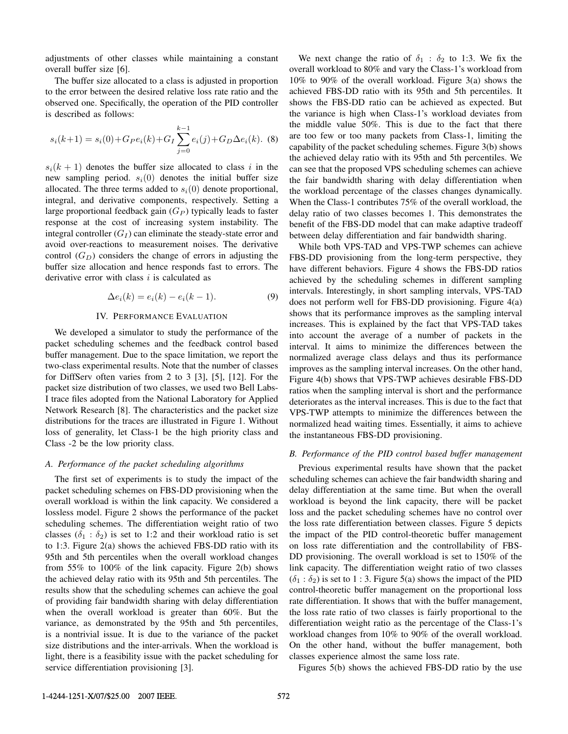adjustments of other classes while maintaining a constant overall buffer size [6].

The buffer size allocated to a class is adjusted in proportion to the error between the desired relative loss rate ratio and the observed one. Specifically, the operation of the PID controller is described as follows:

$$
s_i(k+1) = s_i(0) + G_P e_i(k) + G_I \sum_{j=0}^{k-1} e_i(j) + G_D \Delta e_i(k). \tag{8}
$$

 $s_i(k + 1)$  denotes the buffer size allocated to class i in the new sampling period.  $s_i(0)$  denotes the initial buffer size allocated. The three terms added to  $s_i(0)$  denote proportional, integral, and derivative components, respectively. Setting a large proportional feedback gain  $(G_P)$  typically leads to faster response at the cost of increasing system instability. The integral controller  $(G_I)$  can eliminate the steady-state error and avoid over-reactions to measurement noises. The derivative control  $(G_D)$  considers the change of errors in adjusting the buffer size allocation and hence responds fast to errors. The derivative error with class  $i$  is calculated as

$$
\Delta e_i(k) = e_i(k) - e_i(k-1). \tag{9}
$$

# IV. PERFORMANCE EVALUATION

We developed a simulator to study the performance of the packet scheduling schemes and the feedback control based buffer management. Due to the space limitation, we report the two-class experimental results. Note that the number of classes for DiffServ often varies from 2 to 3 [3], [5], [12]. For the packet size distribution of two classes, we used two Bell Labs-I trace files adopted from the National Laboratory for Applied Network Research [8]. The characteristics and the packet size distributions for the traces are illustrated in Figure 1. Without loss of generality, let Class-1 be the high priority class and Class -2 be the low priority class.

# *A. Performance of the packet scheduling algorithms*

The first set of experiments is to study the impact of the packet scheduling schemes on FBS-DD provisioning when the overall workload is within the link capacity. We considered a lossless model. Figure 2 shows the performance of the packet scheduling schemes. The differentiation weight ratio of two classes ( $\delta_1$ :  $\delta_2$ ) is set to 1:2 and their workload ratio is set to 1:3. Figure 2(a) shows the achieved FBS-DD ratio with its 95th and 5th percentiles when the overall workload changes from 55% to 100% of the link capacity. Figure 2(b) shows the achieved delay ratio with its 95th and 5th percentiles. The results show that the scheduling schemes can achieve the goal of providing fair bandwidth sharing with delay differentiation when the overall workload is greater than 60%. But the variance, as demonstrated by the 95th and 5th percentiles, is a nontrivial issue. It is due to the variance of the packet size distributions and the inter-arrivals. When the workload is light, there is a feasibility issue with the packet scheduling for service differentiation provisioning [3].

We next change the ratio of  $\delta_1$  :  $\delta_2$  to 1:3. We fix the overall workload to 80% and vary the Class-1's workload from 10% to 90% of the overall workload. Figure 3(a) shows the achieved FBS-DD ratio with its 95th and 5th percentiles. It shows the FBS-DD ratio can be achieved as expected. But the variance is high when Class-1's workload deviates from the middle value 50%. This is due to the fact that there are too few or too many packets from Class-1, limiting the capability of the packet scheduling schemes. Figure 3(b) shows the achieved delay ratio with its 95th and 5th percentiles. We can see that the proposed VPS scheduling schemes can achieve the fair bandwidth sharing with delay differentiation when the workload percentage of the classes changes dynamically. When the Class-1 contributes 75% of the overall workload, the delay ratio of two classes becomes 1. This demonstrates the benefit of the FBS-DD model that can make adaptive tradeoff between delay differentiation and fair bandwidth sharing.

While both VPS-TAD and VPS-TWP schemes can achieve FBS-DD provisioning from the long-term perspective, they have different behaviors. Figure 4 shows the FBS-DD ratios achieved by the scheduling schemes in different sampling intervals. Interestingly, in short sampling intervals, VPS-TAD does not perform well for FBS-DD provisioning. Figure 4(a) shows that its performance improves as the sampling interval increases. This is explained by the fact that VPS-TAD takes into account the average of a number of packets in the interval. It aims to minimize the differences between the normalized average class delays and thus its performance improves as the sampling interval increases. On the other hand, Figure 4(b) shows that VPS-TWP achieves desirable FBS-DD ratios when the sampling interval is short and the performance deteriorates as the interval increases. This is due to the fact that VPS-TWP attempts to minimize the differences between the normalized head waiting times. Essentially, it aims to achieve the instantaneous FBS-DD provisioning.

#### *B. Performance of the PID control based buffer management*

Previous experimental results have shown that the packet scheduling schemes can achieve the fair bandwidth sharing and delay differentiation at the same time. But when the overall workload is beyond the link capacity, there will be packet loss and the packet scheduling schemes have no control over the loss rate differentiation between classes. Figure 5 depicts the impact of the PID control-theoretic buffer management on loss rate differentiation and the controllability of FBS-DD provisioning. The overall workload is set to 150% of the link capacity. The differentiation weight ratio of two classes  $(\delta_1 : \delta_2)$  is set to 1 : 3. Figure 5(a) shows the impact of the PID control-theoretic buffer management on the proportional loss rate differentiation. It shows that with the buffer management, the loss rate ratio of two classes is fairly proportional to the differentiation weight ratio as the percentage of the Class-1's workload changes from 10% to 90% of the overall workload. On the other hand, without the buffer management, both classes experience almost the same loss rate.

Figures 5(b) shows the achieved FBS-DD ratio by the use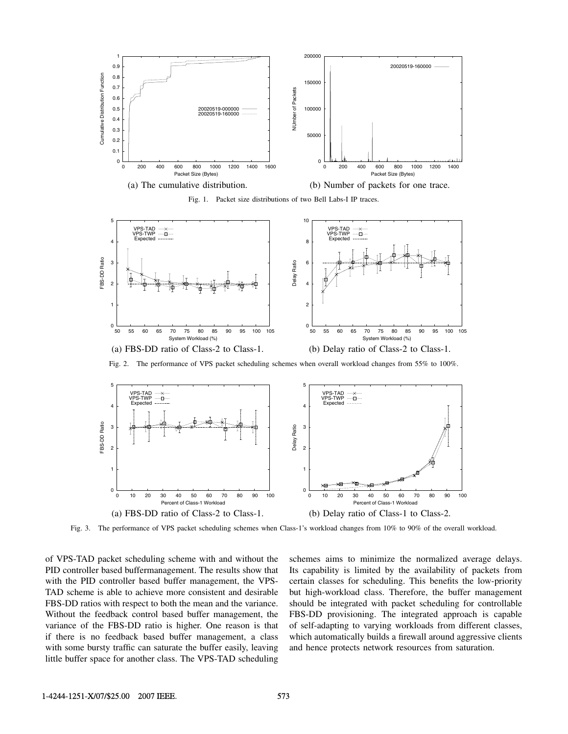

Fig. 1. Packet size distributions of two Bell Labs-I IP traces.



Fig. 2. The performance of VPS packet scheduling schemes when overall workload changes from 55% to 100%.



Fig. 3. The performance of VPS packet scheduling schemes when Class-1's workload changes from 10% to 90% of the overall workload.

of VPS-TAD packet scheduling scheme with and without the PID controller based buffermanagement. The results show that with the PID controller based buffer management, the VPS-TAD scheme is able to achieve more consistent and desirable FBS-DD ratios with respect to both the mean and the variance. Without the feedback control based buffer management, the variance of the FBS-DD ratio is higher. One reason is that if there is no feedback based buffer management, a class with some bursty traffic can saturate the buffer easily, leaving little buffer space for another class. The VPS-TAD scheduling schemes aims to minimize the normalized average delays. Its capability is limited by the availability of packets from certain classes for scheduling. This benefits the low-priority but high-workload class. Therefore, the buffer management should be integrated with packet scheduling for controllable FBS-DD provisioning. The integrated approach is capable of self-adapting to varying workloads from different classes, which automatically builds a firewall around aggressive clients and hence protects network resources from saturation.